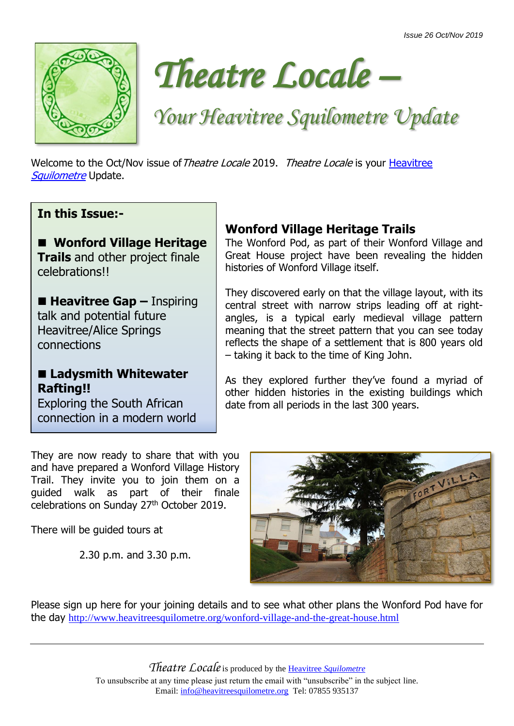



# *Your Heavitree Squilometre Update*

Welcome to the Oct/Nov issue of Theatre Locale 2019. Theatre Locale is your Heavitree [Squilometre](http://www.heavitreesquilometre.org/) Update.

## **In this Issue:-**

## ■ Wonford Village Heritage

**Trails** and other project finale celebrations!!

■ **Heavitree Gap** – Inspiring talk and potential future Heavitree/Alice Springs connections

## ■ Ladysmith Whitewater **Rafting!!**

Exploring the South African connection in a modern world

#### They are now ready to share that with you and have prepared a Wonford Village History Trail. They invite you to join them on a guided walk as part of their finale celebrations on Sunday 27th October 2019.

There will be guided tours at

2.30 p.m. and 3.30 p.m.

## **Wonford Village Heritage Trails**

The Wonford Pod, as part of their Wonford Village and Great House project have been revealing the hidden histories of Wonford Village itself.

They discovered early on that the village layout, with its central street with narrow strips leading off at rightangles, is a typical early medieval village pattern meaning that the street pattern that you can see today reflects the shape of a settlement that is 800 years old – taking it back to the time of King John.

As they explored further they've found a myriad of other hidden histories in the existing buildings which date from all periods in the last 300 years.



Please sign up here for your joining details and to see what other plans the Wonford Pod have for the day <http://www.heavitreesquilometre.org/wonford-village-and-the-great-house.html>